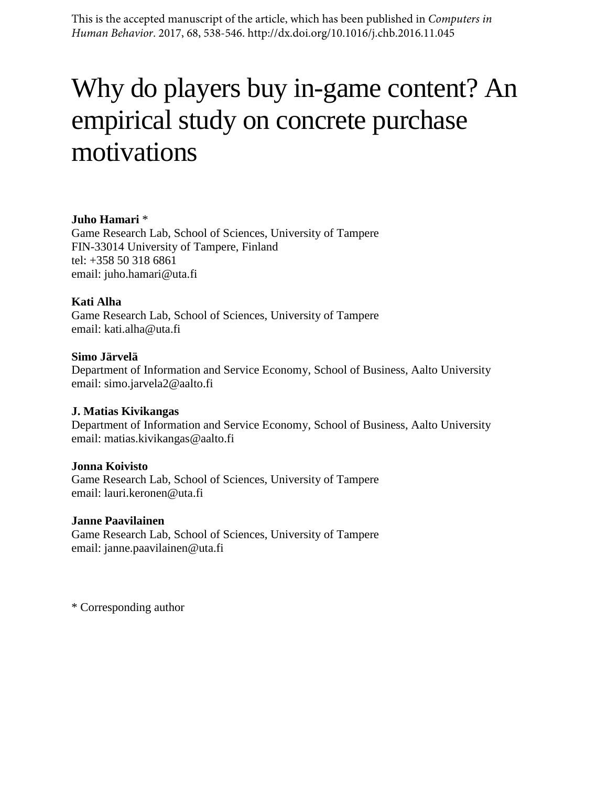# Why do players buy in-game content? An empirical study on concrete purchase motivations

#### **Juho Hamari** \*

Game Research Lab, School of Sciences, University of Tampere FIN-33014 University of Tampere, Finland tel: +358 50 318 6861 email: juho.hamari@uta.fi

#### **Kati Alha**

Game Research Lab, School of Sciences, University of Tampere email: kati.alha@uta.fi

#### **Simo Järvelä**

Department of Information and Service Economy, School of Business, Aalto University email: simo.jarvela2@aalto.fi

#### **J. Matias Kivikangas**

Department of Information and Service Economy, School of Business, Aalto University email: matias.kivikangas@aalto.fi

#### **Jonna Koivisto**

Game Research Lab, School of Sciences, University of Tampere email: lauri.keronen@uta.fi

#### **Janne Paavilainen**

Game Research Lab, School of Sciences, University of Tampere email: janne.paavilainen@uta.fi

\* Corresponding author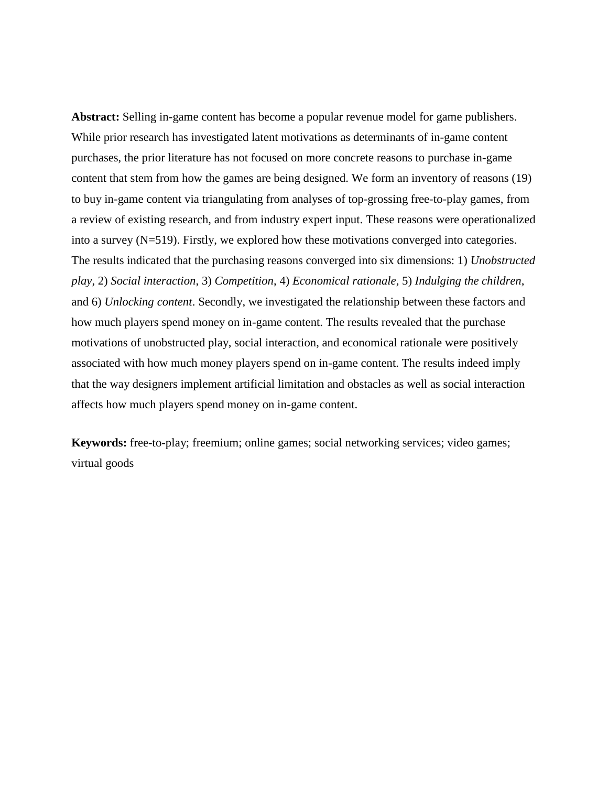**Abstract:** Selling in-game content has become a popular revenue model for game publishers. While prior research has investigated latent motivations as determinants of in-game content purchases, the prior literature has not focused on more concrete reasons to purchase in-game content that stem from how the games are being designed. We form an inventory of reasons (19) to buy in-game content via triangulating from analyses of top-grossing free-to-play games, from a review of existing research, and from industry expert input. These reasons were operationalized into a survey (N=519). Firstly, we explored how these motivations converged into categories. The results indicated that the purchasing reasons converged into six dimensions: 1) *Unobstructed play*, 2) *Social interaction*, 3) *Competition*, 4) *Economical rationale*, 5) *Indulging the children*, and 6) *Unlocking content*. Secondly, we investigated the relationship between these factors and how much players spend money on in-game content. The results revealed that the purchase motivations of unobstructed play, social interaction, and economical rationale were positively associated with how much money players spend on in-game content. The results indeed imply that the way designers implement artificial limitation and obstacles as well as social interaction affects how much players spend money on in-game content.

**Keywords:** free-to-play; freemium; online games; social networking services; video games; virtual goods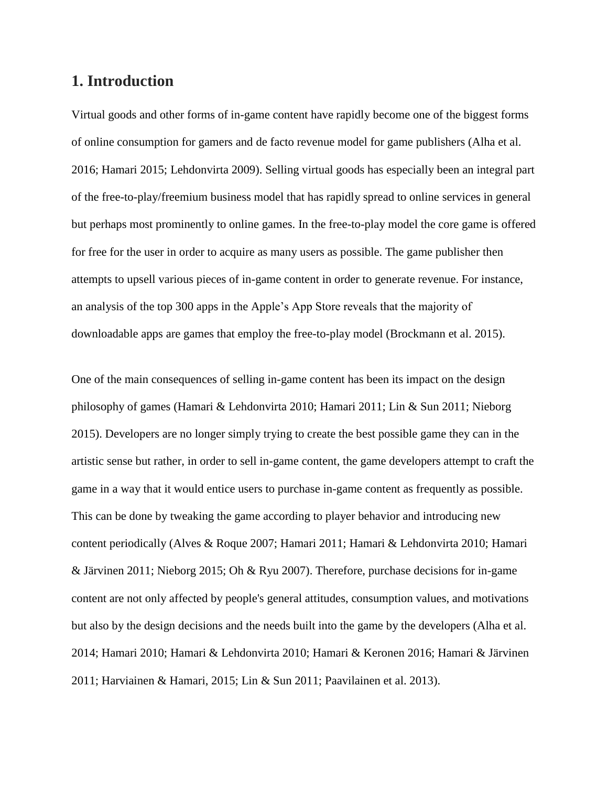# **1. Introduction**

Virtual goods and other forms of in-game content have rapidly become one of the biggest forms of online consumption for gamers and de facto revenue model for game publishers (Alha et al. 2016; Hamari 2015; Lehdonvirta 2009). Selling virtual goods has especially been an integral part of the free-to-play/freemium business model that has rapidly spread to online services in general but perhaps most prominently to online games. In the free-to-play model the core game is offered for free for the user in order to acquire as many users as possible. The game publisher then attempts to upsell various pieces of in-game content in order to generate revenue. For instance, an analysis of the top 300 apps in the Apple's App Store reveals that the majority of downloadable apps are games that employ the free-to-play model (Brockmann et al. 2015).

One of the main consequences of selling in-game content has been its impact on the design philosophy of games (Hamari & Lehdonvirta 2010; Hamari 2011; Lin & Sun 2011; Nieborg 2015). Developers are no longer simply trying to create the best possible game they can in the artistic sense but rather, in order to sell in-game content, the game developers attempt to craft the game in a way that it would entice users to purchase in-game content as frequently as possible. This can be done by tweaking the game according to player behavior and introducing new content periodically (Alves & Roque 2007; Hamari 2011; Hamari & Lehdonvirta 2010; Hamari & Järvinen 2011; Nieborg 2015; Oh & Ryu 2007). Therefore, purchase decisions for in-game content are not only affected by people's general attitudes, consumption values, and motivations but also by the design decisions and the needs built into the game by the developers (Alha et al. 2014; Hamari 2010; Hamari & Lehdonvirta 2010; Hamari & Keronen 2016; Hamari & Järvinen 2011; Harviainen & Hamari, 2015; Lin & Sun 2011; Paavilainen et al. 2013).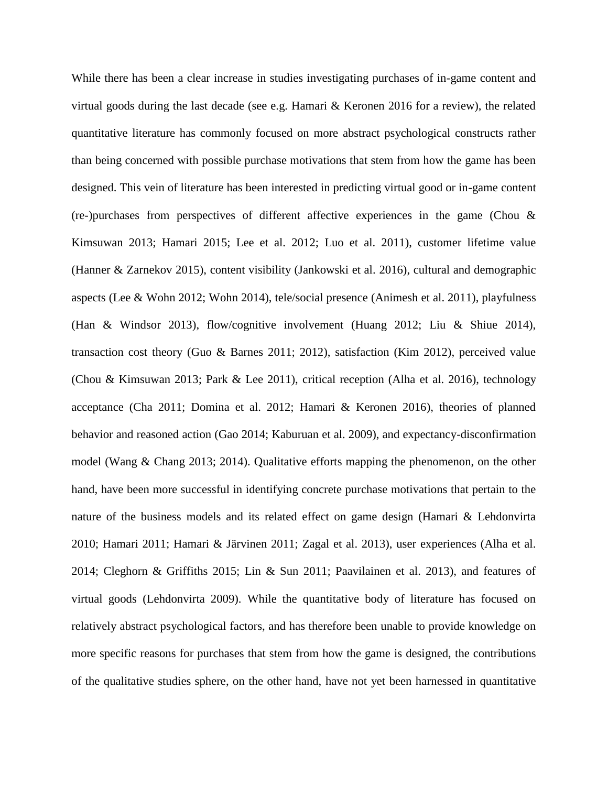While there has been a clear increase in studies investigating purchases of in-game content and virtual goods during the last decade (see e.g. Hamari & Keronen 2016 for a review), the related quantitative literature has commonly focused on more abstract psychological constructs rather than being concerned with possible purchase motivations that stem from how the game has been designed. This vein of literature has been interested in predicting virtual good or in-game content (re-)purchases from perspectives of different affective experiences in the game (Chou & Kimsuwan 2013; Hamari 2015; Lee et al. 2012; Luo et al. 2011), customer lifetime value (Hanner & Zarnekov 2015), content visibility (Jankowski et al. 2016), cultural and demographic aspects (Lee & Wohn 2012; Wohn 2014), tele/social presence (Animesh et al. 2011), playfulness (Han & Windsor 2013), flow/cognitive involvement (Huang 2012; Liu & Shiue 2014), transaction cost theory (Guo & Barnes 2011; 2012), satisfaction (Kim 2012), perceived value (Chou & Kimsuwan 2013; Park & Lee 2011), critical reception (Alha et al. 2016), technology acceptance (Cha 2011; Domina et al. 2012; Hamari & Keronen 2016), theories of planned behavior and reasoned action (Gao 2014; Kaburuan et al. 2009), and expectancy-disconfirmation model (Wang & Chang 2013; 2014). Qualitative efforts mapping the phenomenon, on the other hand, have been more successful in identifying concrete purchase motivations that pertain to the nature of the business models and its related effect on game design (Hamari & Lehdonvirta 2010; Hamari 2011; Hamari & Järvinen 2011; Zagal et al. 2013), user experiences (Alha et al. 2014; Cleghorn & Griffiths 2015; Lin & Sun 2011; Paavilainen et al. 2013), and features of virtual goods (Lehdonvirta 2009). While the quantitative body of literature has focused on relatively abstract psychological factors, and has therefore been unable to provide knowledge on more specific reasons for purchases that stem from how the game is designed, the contributions of the qualitative studies sphere, on the other hand, have not yet been harnessed in quantitative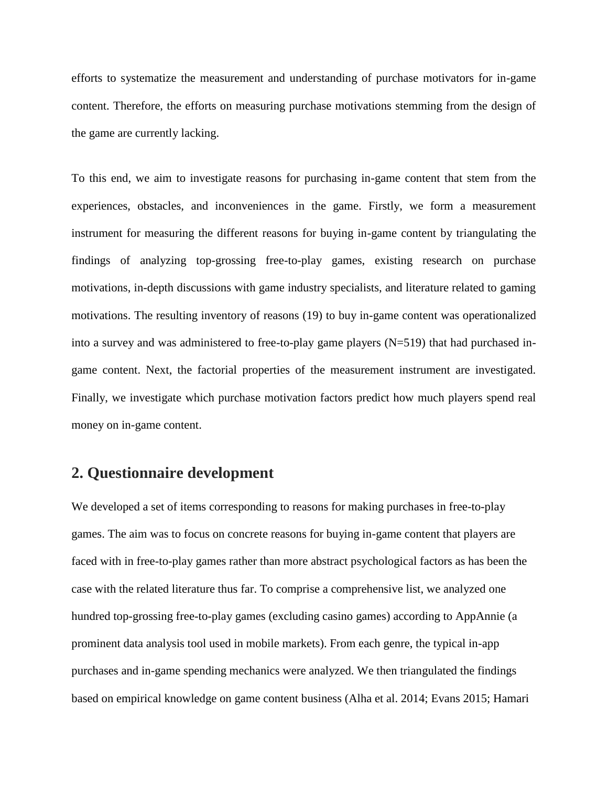efforts to systematize the measurement and understanding of purchase motivators for in-game content. Therefore, the efforts on measuring purchase motivations stemming from the design of the game are currently lacking.

To this end, we aim to investigate reasons for purchasing in-game content that stem from the experiences, obstacles, and inconveniences in the game. Firstly, we form a measurement instrument for measuring the different reasons for buying in-game content by triangulating the findings of analyzing top-grossing free-to-play games, existing research on purchase motivations, in-depth discussions with game industry specialists, and literature related to gaming motivations. The resulting inventory of reasons (19) to buy in-game content was operationalized into a survey and was administered to free-to-play game players  $(N=519)$  that had purchased ingame content. Next, the factorial properties of the measurement instrument are investigated. Finally, we investigate which purchase motivation factors predict how much players spend real money on in-game content.

# **2. Questionnaire development**

We developed a set of items corresponding to reasons for making purchases in free-to-play games. The aim was to focus on concrete reasons for buying in-game content that players are faced with in free-to-play games rather than more abstract psychological factors as has been the case with the related literature thus far. To comprise a comprehensive list, we analyzed one hundred top-grossing free-to-play games (excluding casino games) according to AppAnnie (a prominent data analysis tool used in mobile markets). From each genre, the typical in-app purchases and in-game spending mechanics were analyzed. We then triangulated the findings based on empirical knowledge on game content business (Alha et al. 2014; Evans 2015; Hamari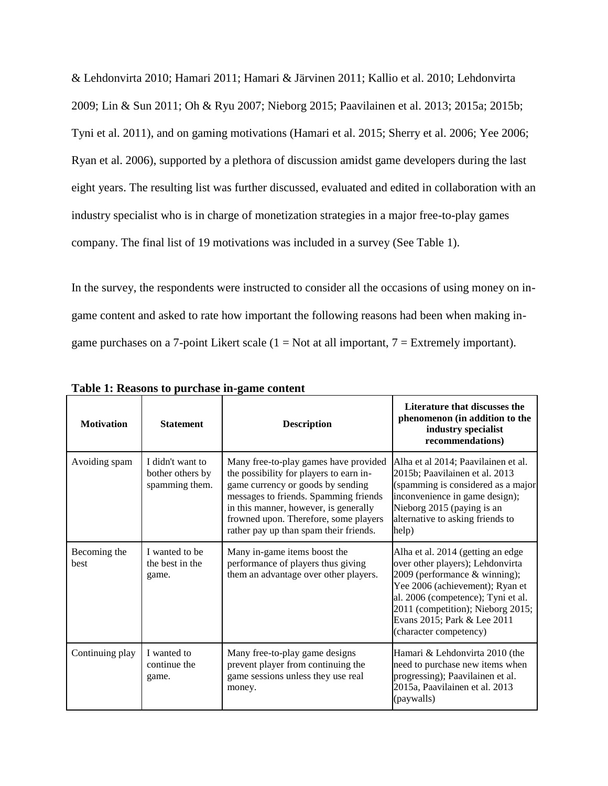& Lehdonvirta 2010; Hamari 2011; Hamari & Järvinen 2011; Kallio et al. 2010; Lehdonvirta 2009; Lin & Sun 2011; Oh & Ryu 2007; Nieborg 2015; Paavilainen et al. 2013; 2015a; 2015b; Tyni et al. 2011), and on gaming motivations (Hamari et al. 2015; Sherry et al. 2006; Yee 2006; Ryan et al. 2006), supported by a plethora of discussion amidst game developers during the last eight years. The resulting list was further discussed, evaluated and edited in collaboration with an industry specialist who is in charge of monetization strategies in a major free-to-play games company. The final list of 19 motivations was included in a survey (See Table 1).

In the survey, the respondents were instructed to consider all the occasions of using money on ingame content and asked to rate how important the following reasons had been when making ingame purchases on a 7-point Likert scale  $(1 = Not at all important, 7 = Extremely important)$ .

| <b>Motivation</b>    | <b>Statement</b>                                       | <b>Description</b>                                                                                                                                                                                                                                                                         | Literature that discusses the<br>phenomenon (in addition to the<br>industry specialist<br>recommendations)                                                                                                                                                                    |
|----------------------|--------------------------------------------------------|--------------------------------------------------------------------------------------------------------------------------------------------------------------------------------------------------------------------------------------------------------------------------------------------|-------------------------------------------------------------------------------------------------------------------------------------------------------------------------------------------------------------------------------------------------------------------------------|
| Avoiding spam        | I didn't want to<br>bother others by<br>spamming them. | Many free-to-play games have provided<br>the possibility for players to earn in-<br>game currency or goods by sending<br>messages to friends. Spamming friends<br>in this manner, however, is generally<br>frowned upon. Therefore, some players<br>rather pay up than spam their friends. | Alha et al 2014; Paavilainen et al.<br>2015b; Paavilainen et al. 2013<br>(spamming is considered as a major<br>inconvenience in game design);<br>Nieborg 2015 (paying is an<br>alternative to asking friends to<br>help)                                                      |
| Becoming the<br>best | I wanted to be<br>the best in the<br>game.             | Many in-game items boost the<br>performance of players thus giving<br>them an advantage over other players.                                                                                                                                                                                | Alha et al. 2014 (getting an edge<br>over other players); Lehdonvirta<br>2009 (performance & winning);<br>Yee 2006 (achievement); Ryan et<br>al. 2006 (competence); Tyni et al.<br>2011 (competition); Nieborg 2015;<br>Evans 2015; Park & Lee 2011<br>(character competency) |
| Continuing play      | I wanted to<br>continue the<br>game.                   | Many free-to-play game designs<br>prevent player from continuing the<br>game sessions unless they use real<br>money.                                                                                                                                                                       | Hamari & Lehdonvirta 2010 (the<br>need to purchase new items when<br>progressing); Paavilainen et al.<br>2015a, Paavilainen et al. 2013<br>(paywalls)                                                                                                                         |

**Table 1: Reasons to purchase in-game content**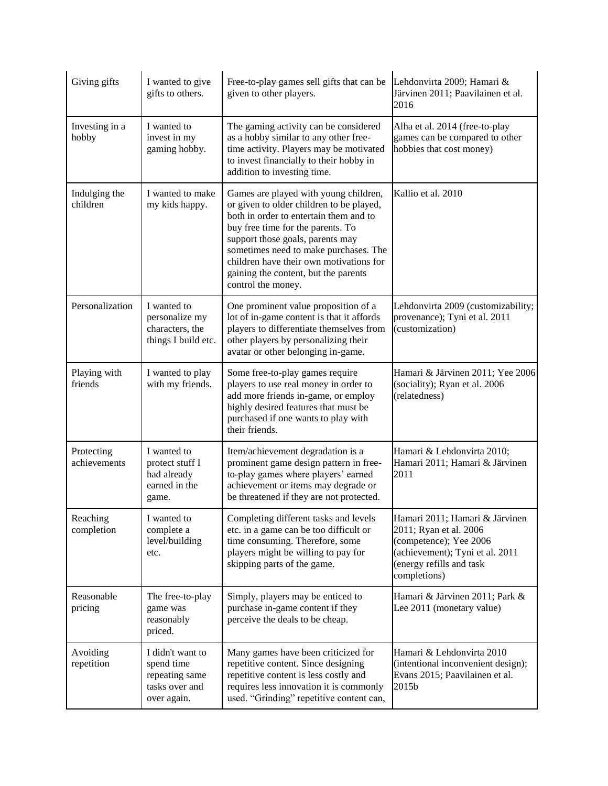| Giving gifts               | I wanted to give<br>gifts to others.                                              | Free-to-play games sell gifts that can be<br>given to other players.                                                                                                                                                                                                                                                                                   | Lehdonvirta 2009; Hamari &<br>Järvinen 2011; Paavilainen et al.<br>2016                                                                                           |
|----------------------------|-----------------------------------------------------------------------------------|--------------------------------------------------------------------------------------------------------------------------------------------------------------------------------------------------------------------------------------------------------------------------------------------------------------------------------------------------------|-------------------------------------------------------------------------------------------------------------------------------------------------------------------|
| Investing in a<br>hobby    | I wanted to<br>invest in my<br>gaming hobby.                                      | The gaming activity can be considered<br>as a hobby similar to any other free-<br>time activity. Players may be motivated<br>to invest financially to their hobby in<br>addition to investing time.                                                                                                                                                    | Alha et al. 2014 (free-to-play<br>games can be compared to other<br>hobbies that cost money)                                                                      |
| Indulging the<br>children  | I wanted to make<br>my kids happy.                                                | Games are played with young children,<br>or given to older children to be played,<br>both in order to entertain them and to<br>buy free time for the parents. To<br>support those goals, parents may<br>sometimes need to make purchases. The<br>children have their own motivations for<br>gaining the content, but the parents<br>control the money. | Kallio et al. 2010                                                                                                                                                |
| Personalization            | I wanted to<br>personalize my<br>characters, the<br>things I build etc.           | One prominent value proposition of a<br>lot of in-game content is that it affords<br>players to differentiate themselves from<br>other players by personalizing their<br>avatar or other belonging in-game.                                                                                                                                            | Lehdonvirta 2009 (customizability;<br>provenance); Tyni et al. 2011<br>(customization)                                                                            |
| Playing with<br>friends    | I wanted to play<br>with my friends.                                              | Some free-to-play games require<br>players to use real money in order to<br>add more friends in-game, or employ<br>highly desired features that must be<br>purchased if one wants to play with<br>their friends.                                                                                                                                       | Hamari & Järvinen 2011; Yee 2006<br>(sociality); Ryan et al. 2006<br>(relatedness)                                                                                |
| Protecting<br>achievements | I wanted to<br>protect stuff I<br>had already<br>earned in the<br>game.           | Item/achievement degradation is a<br>prominent game design pattern in free-<br>to-play games where players' earned<br>achievement or items may degrade or<br>be threatened if they are not protected.                                                                                                                                                  | Hamari & Lehdonvirta 2010;<br>Hamari 2011; Hamari & Järvinen<br>2011                                                                                              |
| Reaching<br>completion     | I wanted to<br>complete a<br>level/building<br>etc.                               | Completing different tasks and levels<br>etc. in a game can be too difficult or<br>time consuming. Therefore, some<br>players might be willing to pay for<br>skipping parts of the game.                                                                                                                                                               | Hamari 2011; Hamari & Järvinen<br>2011; Ryan et al. 2006<br>(competence); Yee 2006<br>(achievement); Tyni et al. 2011<br>(energy refills and task<br>completions) |
| Reasonable<br>pricing      | The free-to-play<br>game was<br>reasonably<br>priced.                             | Simply, players may be enticed to<br>purchase in-game content if they<br>perceive the deals to be cheap.                                                                                                                                                                                                                                               | Hamari & Järvinen 2011; Park &<br>Lee 2011 (monetary value)                                                                                                       |
| Avoiding<br>repetition     | I didn't want to<br>spend time<br>repeating same<br>tasks over and<br>over again. | Many games have been criticized for<br>repetitive content. Since designing<br>repetitive content is less costly and<br>requires less innovation it is commonly<br>used. "Grinding" repetitive content can,                                                                                                                                             | Hamari & Lehdonvirta 2010<br>(intentional inconvenient design);<br>Evans 2015; Paavilainen et al.<br>2015b                                                        |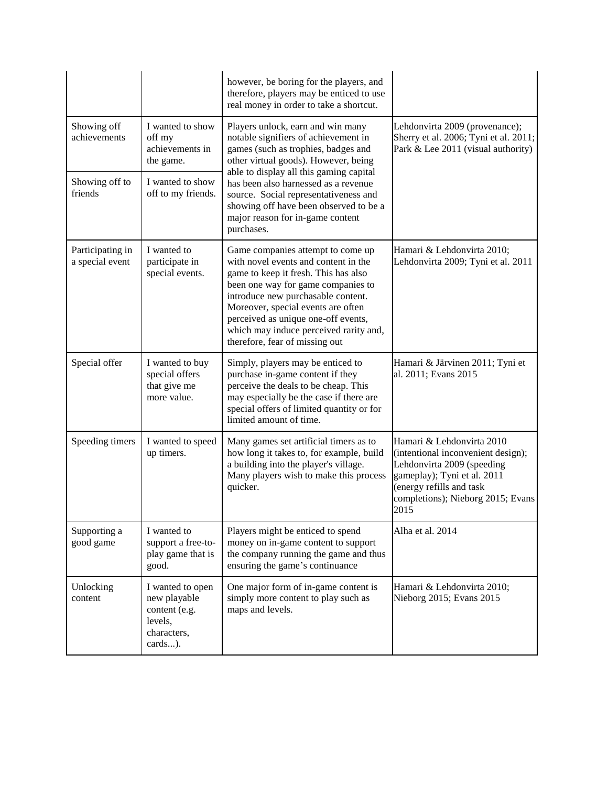|                                     |                                                                                        | however, be boring for the players, and<br>therefore, players may be enticed to use<br>real money in order to take a shortcut.                                                                                                                                                                                                                         |                                                                                                                                                                                                       |
|-------------------------------------|----------------------------------------------------------------------------------------|--------------------------------------------------------------------------------------------------------------------------------------------------------------------------------------------------------------------------------------------------------------------------------------------------------------------------------------------------------|-------------------------------------------------------------------------------------------------------------------------------------------------------------------------------------------------------|
| Showing off<br>achievements         | I wanted to show<br>off my<br>achievements in<br>the game.                             | Players unlock, earn and win many<br>notable signifiers of achievement in<br>games (such as trophies, badges and<br>other virtual goods). However, being                                                                                                                                                                                               | Lehdonvirta 2009 (provenance);<br>Sherry et al. 2006; Tyni et al. 2011;<br>Park & Lee 2011 (visual authority)                                                                                         |
| Showing off to<br>friends           | I wanted to show<br>off to my friends.                                                 | able to display all this gaming capital<br>has been also harnessed as a revenue<br>source. Social representativeness and<br>showing off have been observed to be a<br>major reason for in-game content<br>purchases.                                                                                                                                   |                                                                                                                                                                                                       |
| Participating in<br>a special event | I wanted to<br>participate in<br>special events.                                       | Game companies attempt to come up<br>with novel events and content in the<br>game to keep it fresh. This has also<br>been one way for game companies to<br>introduce new purchasable content.<br>Moreover, special events are often<br>perceived as unique one-off events,<br>which may induce perceived rarity and,<br>therefore, fear of missing out | Hamari & Lehdonvirta 2010;<br>Lehdonvirta 2009; Tyni et al. 2011                                                                                                                                      |
| Special offer                       | I wanted to buy<br>special offers<br>that give me<br>more value.                       | Simply, players may be enticed to<br>purchase in-game content if they<br>perceive the deals to be cheap. This<br>may especially be the case if there are<br>special offers of limited quantity or for<br>limited amount of time.                                                                                                                       | Hamari & Järvinen 2011; Tyni et<br>al. 2011; Evans 2015                                                                                                                                               |
| Speeding timers                     | I wanted to speed<br>up timers.                                                        | Many games set artificial timers as to<br>how long it takes to, for example, build<br>a building into the player's village.<br>Many players wish to make this process<br>quicker.                                                                                                                                                                      | Hamari & Lehdonvirta 2010<br>(intentional inconvenient design);<br>Lehdonvirta 2009 (speeding<br>gameplay); Tyni et al. 2011<br>(energy refills and task<br>completions); Nieborg 2015; Evans<br>2015 |
| Supporting a<br>good game           | I wanted to<br>support a free-to-<br>play game that is<br>good.                        | Players might be enticed to spend<br>money on in-game content to support<br>the company running the game and thus<br>ensuring the game's continuance                                                                                                                                                                                                   | Alha et al. 2014                                                                                                                                                                                      |
| Unlocking<br>content                | I wanted to open<br>new playable<br>content (e.g.<br>levels,<br>characters,<br>cards). | One major form of in-game content is<br>simply more content to play such as<br>maps and levels.                                                                                                                                                                                                                                                        | Hamari & Lehdonvirta 2010;<br>Nieborg 2015; Evans 2015                                                                                                                                                |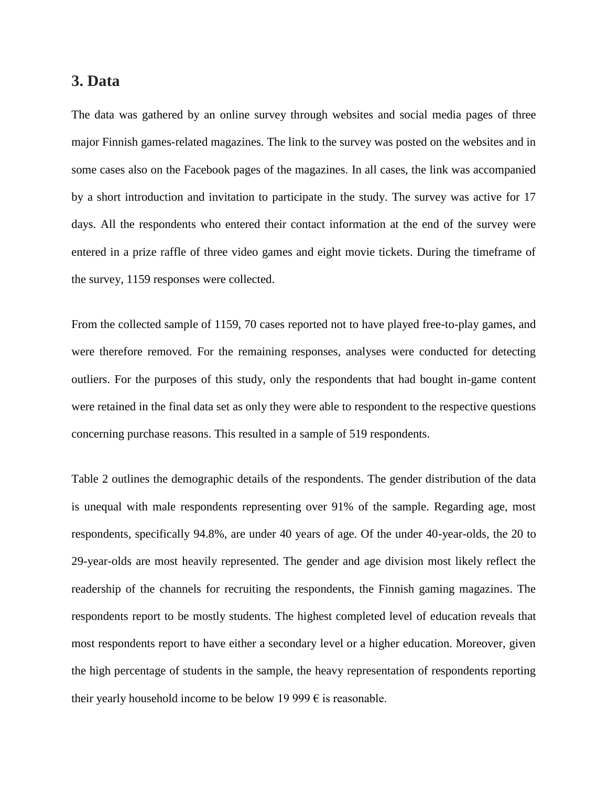#### **3. Data**

The data was gathered by an online survey through websites and social media pages of three major Finnish games-related magazines. The link to the survey was posted on the websites and in some cases also on the Facebook pages of the magazines. In all cases, the link was accompanied by a short introduction and invitation to participate in the study. The survey was active for 17 days. All the respondents who entered their contact information at the end of the survey were entered in a prize raffle of three video games and eight movie tickets. During the timeframe of the survey, 1159 responses were collected.

From the collected sample of 1159, 70 cases reported not to have played free-to-play games, and were therefore removed. For the remaining responses, analyses were conducted for detecting outliers. For the purposes of this study, only the respondents that had bought in-game content were retained in the final data set as only they were able to respondent to the respective questions concerning purchase reasons. This resulted in a sample of 519 respondents.

Table 2 outlines the demographic details of the respondents. The gender distribution of the data is unequal with male respondents representing over 91% of the sample. Regarding age, most respondents, specifically 94.8%, are under 40 years of age. Of the under 40-year-olds, the 20 to 29-year-olds are most heavily represented. The gender and age division most likely reflect the readership of the channels for recruiting the respondents, the Finnish gaming magazines. The respondents report to be mostly students. The highest completed level of education reveals that most respondents report to have either a secondary level or a higher education. Moreover, given the high percentage of students in the sample, the heavy representation of respondents reporting their yearly household income to be below 19 999  $\epsilon$  is reasonable.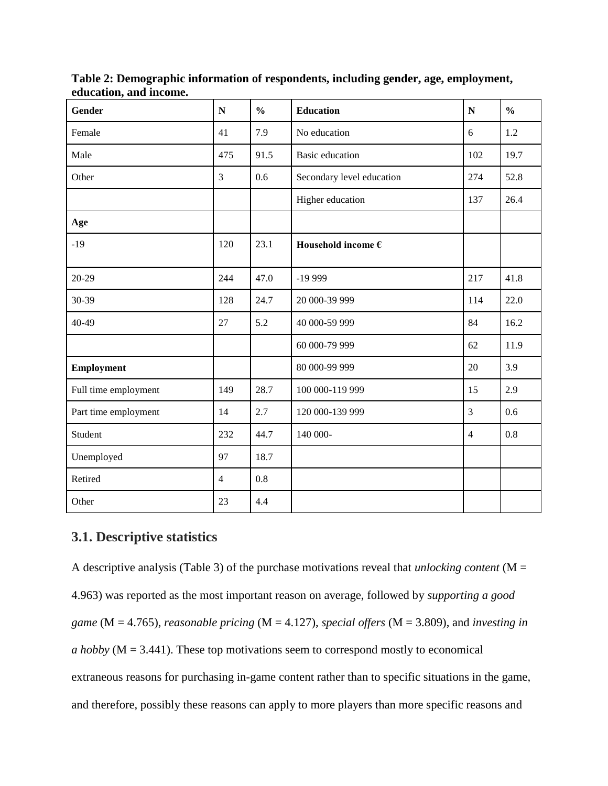| <b>Gender</b>        | ${\bf N}$      | $\frac{0}{0}$ | <b>Education</b>            | ${\bf N}$      | $\frac{0}{0}$ |
|----------------------|----------------|---------------|-----------------------------|----------------|---------------|
| Female               | 41             | 7.9           | No education                | $6\,$          | 1.2           |
| Male                 | 475            | 91.5          | <b>Basic</b> education      | 102            | 19.7          |
| Other                | 3              | 0.6           | Secondary level education   | 274            | 52.8          |
|                      |                |               | Higher education            | 137            | 26.4          |
| Age                  |                |               |                             |                |               |
| $-19$                | 120            | 23.1          | Household income $\epsilon$ |                |               |
| 20-29                | 244            | 47.0          | $-19999$                    | 217            | 41.8          |
| 30-39                | 128            | 24.7          | 20 000-39 999               | 114            | 22.0          |
| 40-49                | 27             | 5.2           | 40 000-59 999               | 84             | 16.2          |
|                      |                |               | 60 000-79 999               | 62             | 11.9          |
| <b>Employment</b>    |                |               | 80 000-99 999               | 20             | 3.9           |
| Full time employment | 149            | 28.7          | 100 000-119 999             | 15             | 2.9           |
| Part time employment | 14             | 2.7           | 120 000-139 999             | $\overline{3}$ | 0.6           |
| Student              | 232            | 44.7          | 140 000-                    | $\overline{4}$ | 0.8           |
| Unemployed           | 97             | 18.7          |                             |                |               |
| Retired              | $\overline{4}$ | 0.8           |                             |                |               |
| Other                | 23             | 4.4           |                             |                |               |

**Table 2: Demographic information of respondents, including gender, age, employment, education, and income.**

# **3.1. Descriptive statistics**

A descriptive analysis (Table 3) of the purchase motivations reveal that *unlocking content* (M = 4.963) was reported as the most important reason on average, followed by *supporting a good game* (M = 4.765), *reasonable pricing* (M = 4.127), *special offers* (M = 3.809), and *investing in a hobby* (M = 3.441). These top motivations seem to correspond mostly to economical extraneous reasons for purchasing in-game content rather than to specific situations in the game, and therefore, possibly these reasons can apply to more players than more specific reasons and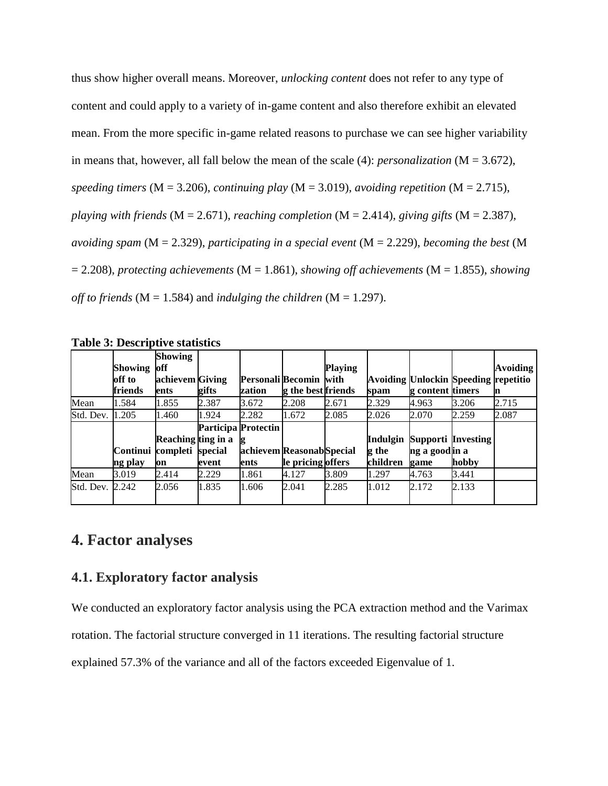thus show higher overall means. Moreover, *unlocking content* does not refer to any type of content and could apply to a variety of in-game content and also therefore exhibit an elevated mean. From the more specific in-game related reasons to purchase we can see higher variability in means that, however, all fall below the mean of the scale (4): *personalization* (M = 3.672), *speeding timers* (M = 3.206), *continuing play* (M = 3.019), *avoiding repetition* (M = 2.715), *playing with friends* (M = 2.671), *reaching completion* (M = 2.414), *giving gifts* (M = 2.387), *avoiding spam* (M = 2.329), *participating in a special event* (M = 2.229), *becoming the best* (M = 2.208), *protecting achievements* (M = 1.861), *showing off achievements* (M = 1.855), *showing off to friends* ( $M = 1.584$ ) and *indulging the children* ( $M = 1.297$ ).

|                 | Showing off<br>off to<br>friends | <b>Showing</b><br>achievem Giving<br>ents              | gifts                               | Personali Becomin with<br>zation      | g the best friends | <b>Playing</b> | <b>Avoiding Unlockin Speeding repetitio</b><br>spam | g content timers      |                                    | Avoiding<br>n |
|-----------------|----------------------------------|--------------------------------------------------------|-------------------------------------|---------------------------------------|--------------------|----------------|-----------------------------------------------------|-----------------------|------------------------------------|---------------|
| Mean            | 1.584                            | 1.855                                                  | 2.387                               | 3.672                                 | 2.208              | 2.671          | 2.329                                               | 4.963                 | 3.206                              | 2.715         |
| Std. Dev.       | 1.205                            | 1.460                                                  | 1.924                               | 2.282                                 | 1.672              | 2.085          | 2.026                                               | 2.070                 | 2.259                              | 2.087         |
|                 | ng play                          | Reaching ting in a<br>Continui completi special<br>lon | <b>Participa Protectin</b><br>event | g<br>achievem ReasonabSpecial<br>ents | le pricing offers  |                | Indulgin<br>g the<br>children                       | ng a goodin a<br>game | <b>Supporti Investing</b><br>hobby |               |
| Mean            | 3.019                            | 2.414                                                  | 2.229                               | 1.861                                 | 4.127              | 3.809          | 1.297                                               | 4.763                 | 3.441                              |               |
| Std. Dev. 2.242 |                                  | 2.056                                                  | 1.835                               | 1.606                                 | 2.041              | 2.285          | 1.012                                               | 2.172                 | 2.133                              |               |

**Table 3: Descriptive statistics**

# **4. Factor analyses**

#### **4.1. Exploratory factor analysis**

We conducted an exploratory factor analysis using the PCA extraction method and the Varimax

rotation. The factorial structure converged in 11 iterations. The resulting factorial structure

explained 57.3% of the variance and all of the factors exceeded Eigenvalue of 1.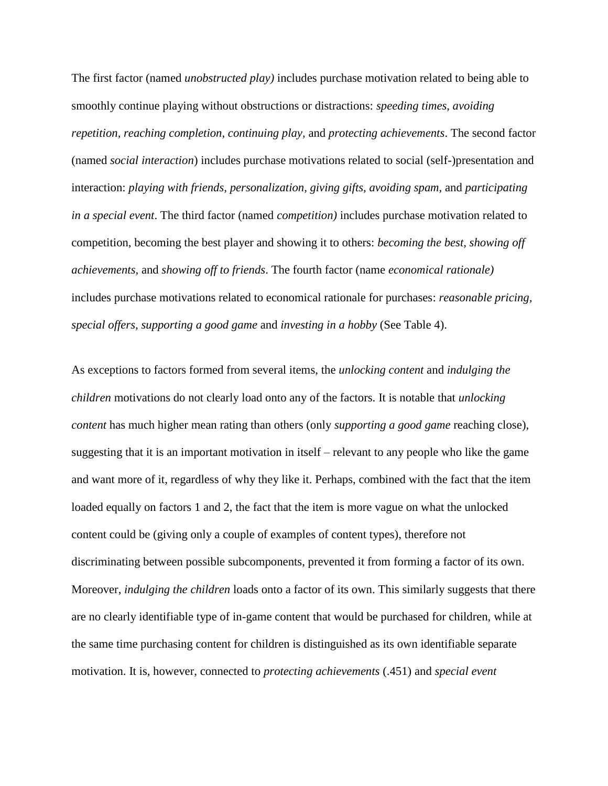The first factor (named *unobstructed play)* includes purchase motivation related to being able to smoothly continue playing without obstructions or distractions: *speeding times, avoiding repetition, reaching completion, continuing play,* and *protecting achievements*. The second factor (named *social interaction*) includes purchase motivations related to social (self-)presentation and interaction: *playing with friends, personalization, giving gifts, avoiding spam,* and *participating in a special event*. The third factor (named *competition)* includes purchase motivation related to competition, becoming the best player and showing it to others: *becoming the best, showing off achievements,* and *showing off to friends*. The fourth factor (name *economical rationale)*  includes purchase motivations related to economical rationale for purchases: *reasonable pricing, special offers, supporting a good game* and *investing in a hobby* (See Table 4).

As exceptions to factors formed from several items, the *unlocking content* and *indulging the children* motivations do not clearly load onto any of the factors. It is notable that *unlocking content* has much higher mean rating than others (only *supporting a good game* reaching close), suggesting that it is an important motivation in itself – relevant to any people who like the game and want more of it, regardless of why they like it. Perhaps, combined with the fact that the item loaded equally on factors 1 and 2, the fact that the item is more vague on what the unlocked content could be (giving only a couple of examples of content types), therefore not discriminating between possible subcomponents, prevented it from forming a factor of its own. Moreover, *indulging the children* loads onto a factor of its own. This similarly suggests that there are no clearly identifiable type of in-game content that would be purchased for children, while at the same time purchasing content for children is distinguished as its own identifiable separate motivation. It is, however, connected to *protecting achievements* (.451) and *special event*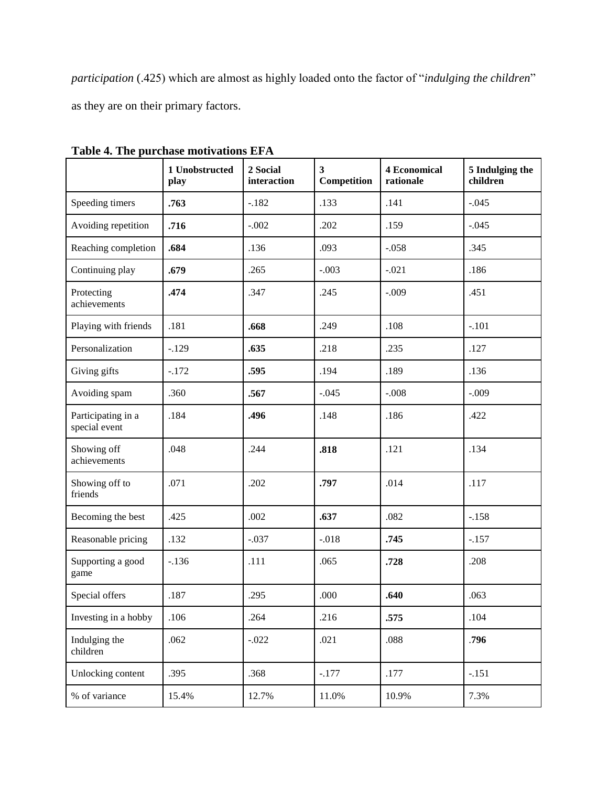*participation* (.425) which are almost as highly loaded onto the factor of "*indulging the children*" as they are on their primary factors.

|                                     | 1 Unobstructed<br>play | 2 Social<br>interaction | 3<br>Competition | <b>4 Economical</b><br>rationale | 5 Indulging the<br>children |
|-------------------------------------|------------------------|-------------------------|------------------|----------------------------------|-----------------------------|
| Speeding timers                     | .763                   | $-.182$                 | .133             | .141                             | $-.045$                     |
| Avoiding repetition                 | .716                   | $-.002$                 | .202             | .159                             | $-.045$                     |
| Reaching completion                 | .684                   | .136                    | .093             | $-.058$                          | .345                        |
| Continuing play                     | .679                   | .265                    | $-.003$          | $-.021$                          | .186                        |
| Protecting<br>achievements          | .474                   | .347                    | .245             | $-.009$                          | .451                        |
| Playing with friends                | .181                   | .668                    | .249             | .108                             | $-.101$                     |
| Personalization                     | $-.129$                | .635                    | .218             | .235                             | .127                        |
| Giving gifts                        | $-.172$                | .595                    | .194             | .189                             | .136                        |
| Avoiding spam                       | .360                   | .567                    | $-.045$          | $-.008$                          | $-.009$                     |
| Participating in a<br>special event | .184                   | .496                    | .148             | .186                             | .422                        |
| Showing off<br>achievements         | .048                   | .244                    | .818             | .121                             | .134                        |
| Showing off to<br>friends           | .071                   | .202                    | .797             | .014                             | .117                        |
| Becoming the best                   | .425                   | .002                    | .637             | .082                             | $-.158$                     |
| Reasonable pricing                  | .132                   | $-.037$                 | $-.018$          | .745                             | $-.157$                     |
| Supporting a good<br>game           | $-.136$                | .111                    | .065             | .728                             | .208                        |
| Special offers                      | .187                   | .295                    | .000             | .640                             | .063                        |
| Investing in a hobby                | .106                   | .264                    | .216             | .575                             | .104                        |
| Indulging the<br>children           | .062                   | $-.022$                 | .021             | .088                             | .796                        |
| Unlocking content                   | .395                   | .368                    | $-.177$          | .177                             | $-.151$                     |
| % of variance                       | 15.4%                  | 12.7%                   | 11.0%            | 10.9%                            | 7.3%                        |

**Table 4. The purchase motivations EFA**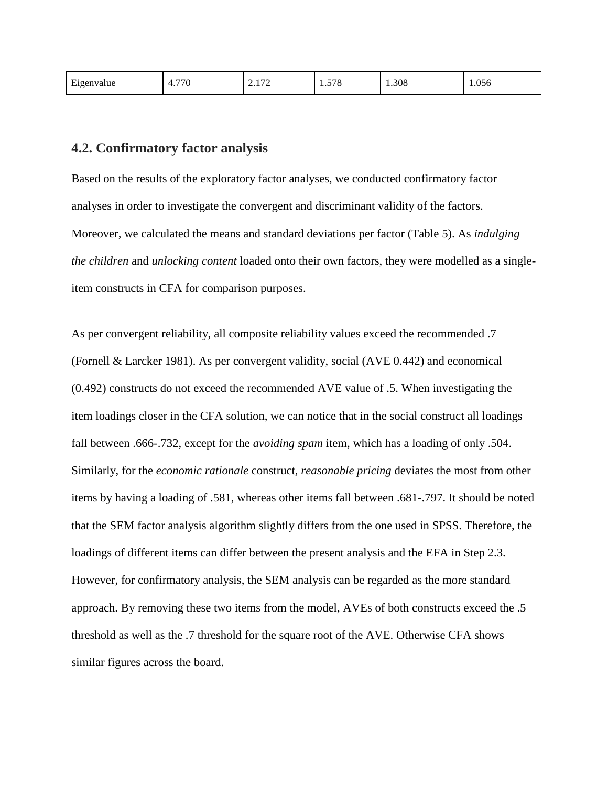| $\blacksquare$<br>Eigenvalue<br>.<br>and the state of the state of | 770<br>. .<br>т. 1 | $\sim$<br>.<br>.<br>the contract of the contract of the | $-$<br>70<br>. . <u>.</u><br>. | 308<br>- - - - - | 1.056 |
|--------------------------------------------------------------------|--------------------|---------------------------------------------------------|--------------------------------|------------------|-------|
|--------------------------------------------------------------------|--------------------|---------------------------------------------------------|--------------------------------|------------------|-------|

#### **4.2. Confirmatory factor analysis**

Based on the results of the exploratory factor analyses, we conducted confirmatory factor analyses in order to investigate the convergent and discriminant validity of the factors. Moreover, we calculated the means and standard deviations per factor (Table 5). As *indulging the children* and *unlocking content* loaded onto their own factors, they were modelled as a singleitem constructs in CFA for comparison purposes.

As per convergent reliability, all composite reliability values exceed the recommended .7 (Fornell & Larcker 1981). As per convergent validity, social (AVE 0.442) and economical (0.492) constructs do not exceed the recommended AVE value of .5. When investigating the item loadings closer in the CFA solution, we can notice that in the social construct all loadings fall between .666-.732, except for the *avoiding spam* item, which has a loading of only .504. Similarly, for the *economic rationale* construct, *reasonable pricing* deviates the most from other items by having a loading of .581, whereas other items fall between .681-.797. It should be noted that the SEM factor analysis algorithm slightly differs from the one used in SPSS. Therefore, the loadings of different items can differ between the present analysis and the EFA in Step 2.3. However, for confirmatory analysis, the SEM analysis can be regarded as the more standard approach. By removing these two items from the model, AVEs of both constructs exceed the .5 threshold as well as the .7 threshold for the square root of the AVE. Otherwise CFA shows similar figures across the board.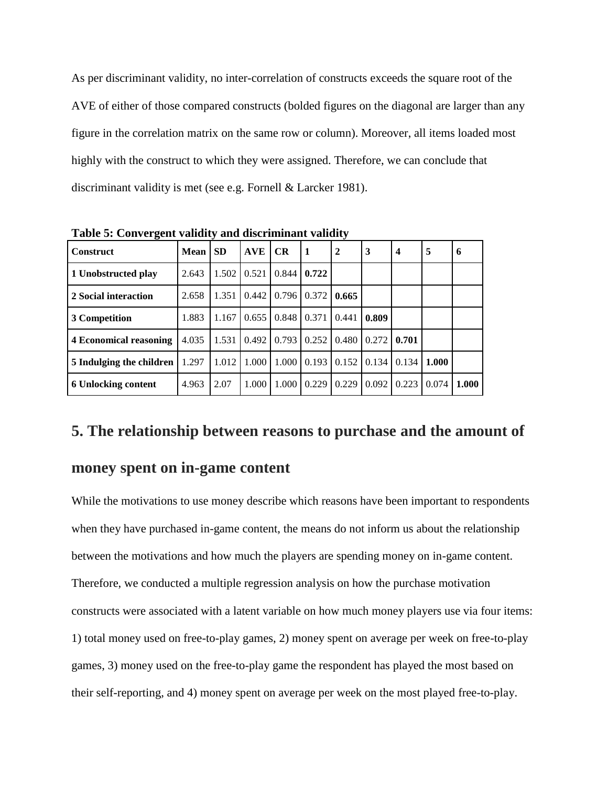As per discriminant validity, no inter-correlation of constructs exceeds the square root of the AVE of either of those compared constructs (bolded figures on the diagonal are larger than any figure in the correlation matrix on the same row or column). Moreover, all items loaded most highly with the construct to which they were assigned. Therefore, we can conclude that discriminant validity is met (see e.g. Fornell & Larcker 1981).

| Table of Convergent vanuity and uperminant vanuity |       |           |            |           |       |              |                 |                         |       |       |
|----------------------------------------------------|-------|-----------|------------|-----------|-------|--------------|-----------------|-------------------------|-------|-------|
| <b>Construct</b>                                   | Mean  | <b>SD</b> | <b>AVE</b> | <b>CR</b> | 1     | $\mathbf{2}$ | 3               | $\overline{\mathbf{4}}$ | 5     | 6     |
| 1 Unobstructed play                                | 2.643 | 1.502     | 0.521      | 0.844     | 0.722 |              |                 |                         |       |       |
| 2 Social interaction                               | 2.658 | 1.351     | 0.442      | 0.796     | 0.372 | 0.665        |                 |                         |       |       |
| 3 Competition                                      | 1.883 | 1.167     | 0.655      | 0.848     | 0.371 | 0.441        | 0.809           |                         |       |       |
| <b>4 Economical reasoning</b>                      | 4.035 | 1.531     | 0.492      | 0.793     | 0.252 | 0.480        | $0.272$   0.701 |                         |       |       |
| 5 Indulging the children                           | 1.297 | 1.012     | 1.000      | 1.000     | 0.193 | 0.152        | 0.134           | 0.134                   | 1.000 |       |
| <b>6 Unlocking content</b>                         | 4.963 | 2.07      | 1.000      | 1.000     | 0.229 | 0.229        | 0.092           | 0.223                   | 0.074 | 1.000 |

**Table 5: Convergent validity and discriminant validity**

# **5. The relationship between reasons to purchase and the amount of money spent on in-game content**

While the motivations to use money describe which reasons have been important to respondents when they have purchased in-game content, the means do not inform us about the relationship between the motivations and how much the players are spending money on in-game content. Therefore, we conducted a multiple regression analysis on how the purchase motivation constructs were associated with a latent variable on how much money players use via four items: 1) total money used on free-to-play games, 2) money spent on average per week on free-to-play games, 3) money used on the free-to-play game the respondent has played the most based on their self-reporting, and 4) money spent on average per week on the most played free-to-play.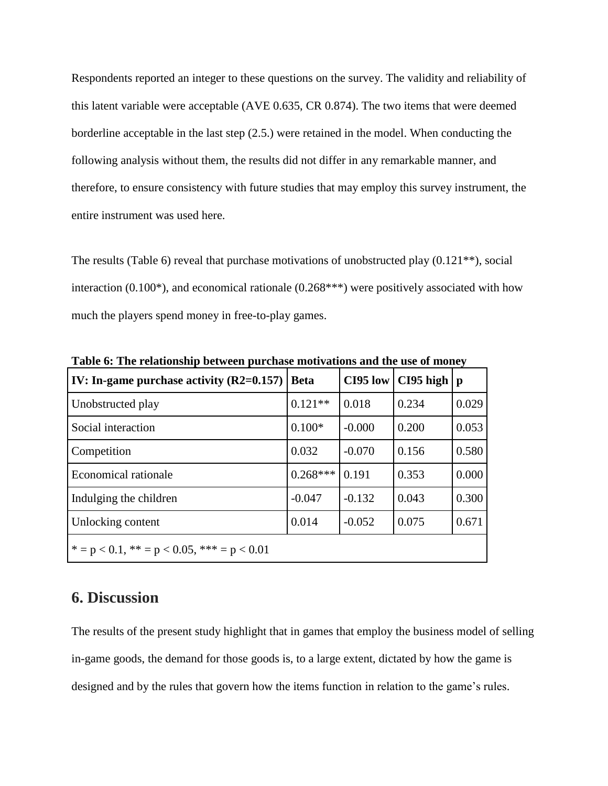Respondents reported an integer to these questions on the survey. The validity and reliability of this latent variable were acceptable (AVE 0.635, CR 0.874). The two items that were deemed borderline acceptable in the last step (2.5.) were retained in the model. When conducting the following analysis without them, the results did not differ in any remarkable manner, and therefore, to ensure consistency with future studies that may employ this survey instrument, the entire instrument was used here.

The results (Table 6) reveal that purchase motivations of unobstructed play (0.121\*\*), social interaction (0.100\*), and economical rationale (0.268\*\*\*) were positively associated with how much the players spend money in free-to-play games.

| IV: In-game purchase activity $(R2=0.157)$  | <b>Beta</b> | CI95 low | $CI95$ high | p     |
|---------------------------------------------|-------------|----------|-------------|-------|
| Unobstructed play                           | $0.121**$   | 0.018    | 0.234       | 0.029 |
| Social interaction                          | $0.100*$    | $-0.000$ | 0.200       | 0.053 |
| Competition                                 | 0.032       | $-0.070$ | 0.156       | 0.580 |
| Economical rationale                        | $0.268***$  | 0.191    | 0.353       | 0.000 |
| Indulging the children                      | $-0.047$    | $-0.132$ | 0.043       | 0.300 |
| Unlocking content                           | 0.014       | $-0.052$ | 0.075       | 0.671 |
| $* = p < 0.1, * = p < 0.05, * * = p < 0.01$ |             |          |             |       |

**Table 6: The relationship between purchase motivations and the use of money**

# **6. Discussion**

The results of the present study highlight that in games that employ the business model of selling in-game goods, the demand for those goods is, to a large extent, dictated by how the game is designed and by the rules that govern how the items function in relation to the game's rules.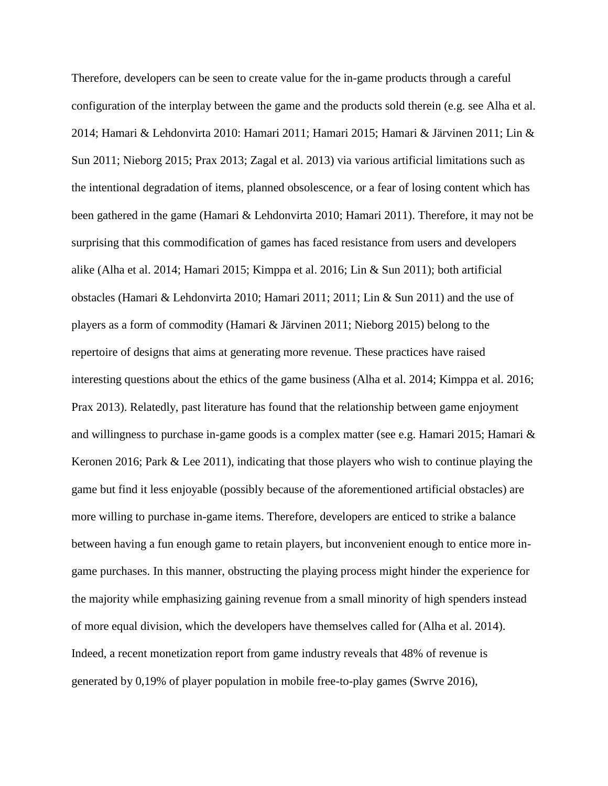Therefore, developers can be seen to create value for the in-game products through a careful configuration of the interplay between the game and the products sold therein (e.g. see Alha et al. 2014; Hamari & Lehdonvirta 2010: Hamari 2011; Hamari 2015; Hamari & Järvinen 2011; Lin & Sun 2011; Nieborg 2015; Prax 2013; Zagal et al. 2013) via various artificial limitations such as the intentional degradation of items, planned obsolescence, or a fear of losing content which has been gathered in the game (Hamari & Lehdonvirta 2010; Hamari 2011). Therefore, it may not be surprising that this commodification of games has faced resistance from users and developers alike (Alha et al. 2014; Hamari 2015; Kimppa et al. 2016; Lin & Sun 2011); both artificial obstacles (Hamari & Lehdonvirta 2010; Hamari 2011; 2011; Lin & Sun 2011) and the use of players as a form of commodity (Hamari & Järvinen 2011; Nieborg 2015) belong to the repertoire of designs that aims at generating more revenue. These practices have raised interesting questions about the ethics of the game business (Alha et al. 2014; Kimppa et al. 2016; Prax 2013). Relatedly, past literature has found that the relationship between game enjoyment and willingness to purchase in-game goods is a complex matter (see e.g. Hamari 2015; Hamari  $\&$ Keronen 2016; Park & Lee 2011), indicating that those players who wish to continue playing the game but find it less enjoyable (possibly because of the aforementioned artificial obstacles) are more willing to purchase in-game items. Therefore, developers are enticed to strike a balance between having a fun enough game to retain players, but inconvenient enough to entice more ingame purchases. In this manner, obstructing the playing process might hinder the experience for the majority while emphasizing gaining revenue from a small minority of high spenders instead of more equal division, which the developers have themselves called for (Alha et al. 2014). Indeed, a recent monetization report from game industry reveals that 48% of revenue is generated by 0,19% of player population in mobile free-to-play games (Swrve 2016),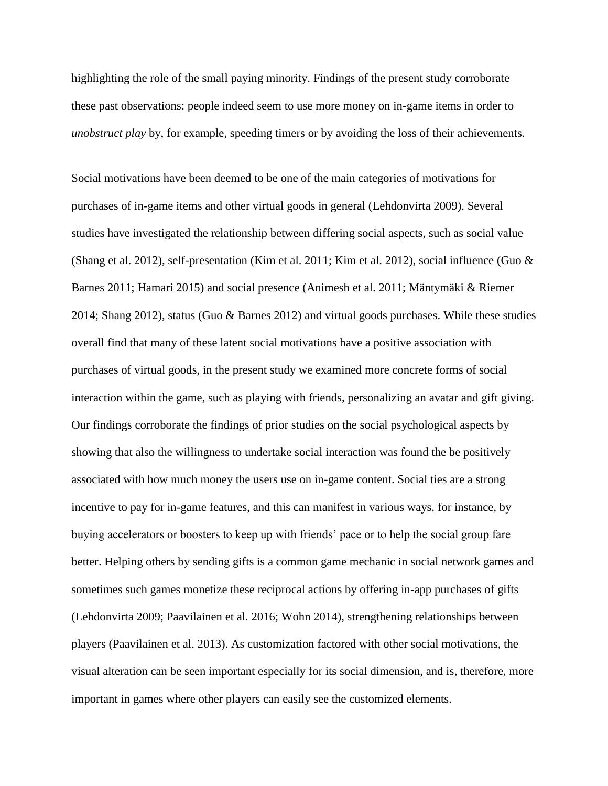highlighting the role of the small paying minority. Findings of the present study corroborate these past observations: people indeed seem to use more money on in-game items in order to *unobstruct play* by, for example, speeding timers or by avoiding the loss of their achievements.

Social motivations have been deemed to be one of the main categories of motivations for purchases of in-game items and other virtual goods in general (Lehdonvirta 2009). Several studies have investigated the relationship between differing social aspects, such as social value (Shang et al. 2012), self-presentation (Kim et al. 2011; Kim et al. 2012), social influence (Guo & Barnes 2011; Hamari 2015) and social presence (Animesh et al. 2011; Mäntymäki & Riemer 2014; Shang 2012), status (Guo & Barnes 2012) and virtual goods purchases. While these studies overall find that many of these latent social motivations have a positive association with purchases of virtual goods, in the present study we examined more concrete forms of social interaction within the game, such as playing with friends, personalizing an avatar and gift giving. Our findings corroborate the findings of prior studies on the social psychological aspects by showing that also the willingness to undertake social interaction was found the be positively associated with how much money the users use on in-game content. Social ties are a strong incentive to pay for in-game features, and this can manifest in various ways, for instance, by buying accelerators or boosters to keep up with friends' pace or to help the social group fare better. Helping others by sending gifts is a common game mechanic in social network games and sometimes such games monetize these reciprocal actions by offering in-app purchases of gifts (Lehdonvirta 2009; Paavilainen et al. 2016; Wohn 2014), strengthening relationships between players (Paavilainen et al. 2013). As customization factored with other social motivations, the visual alteration can be seen important especially for its social dimension, and is, therefore, more important in games where other players can easily see the customized elements.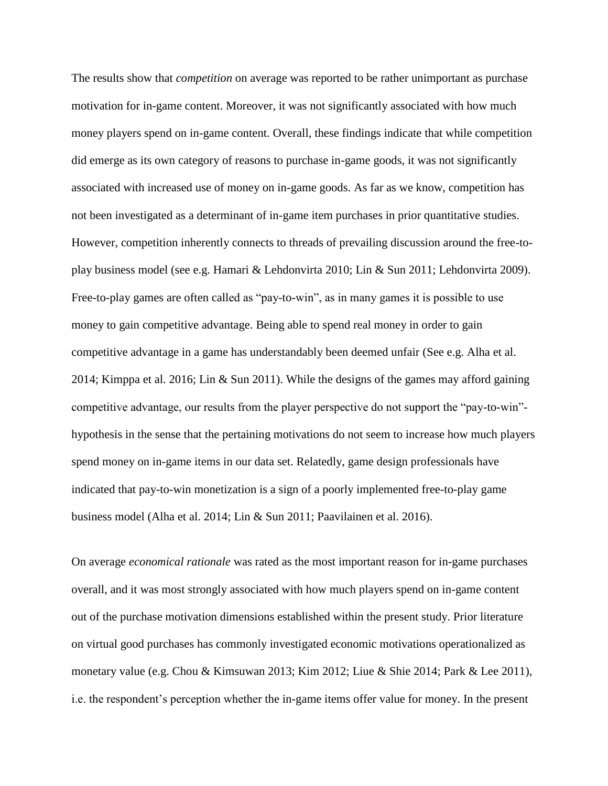The results show that *competition* on average was reported to be rather unimportant as purchase motivation for in-game content. Moreover, it was not significantly associated with how much money players spend on in-game content. Overall, these findings indicate that while competition did emerge as its own category of reasons to purchase in-game goods, it was not significantly associated with increased use of money on in-game goods. As far as we know, competition has not been investigated as a determinant of in-game item purchases in prior quantitative studies. However, competition inherently connects to threads of prevailing discussion around the free-toplay business model (see e.g. Hamari & Lehdonvirta 2010; Lin & Sun 2011; Lehdonvirta 2009). Free-to-play games are often called as "pay-to-win", as in many games it is possible to use money to gain competitive advantage. Being able to spend real money in order to gain competitive advantage in a game has understandably been deemed unfair (See e.g. Alha et al. 2014; Kimppa et al. 2016; Lin & Sun 2011). While the designs of the games may afford gaining competitive advantage, our results from the player perspective do not support the "pay-to-win" hypothesis in the sense that the pertaining motivations do not seem to increase how much players spend money on in-game items in our data set. Relatedly, game design professionals have indicated that pay-to-win monetization is a sign of a poorly implemented free-to-play game business model (Alha et al. 2014; Lin & Sun 2011; Paavilainen et al. 2016).

On average *economical rationale* was rated as the most important reason for in-game purchases overall, and it was most strongly associated with how much players spend on in-game content out of the purchase motivation dimensions established within the present study. Prior literature on virtual good purchases has commonly investigated economic motivations operationalized as monetary value (e.g. Chou & Kimsuwan 2013; Kim 2012; Liue & Shie 2014; Park & Lee 2011), i.e. the respondent's perception whether the in-game items offer value for money. In the present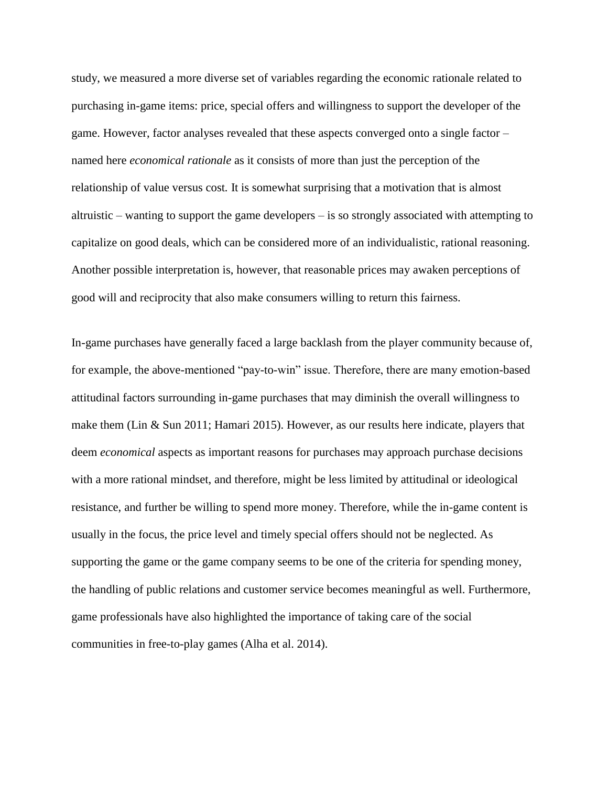study, we measured a more diverse set of variables regarding the economic rationale related to purchasing in-game items: price, special offers and willingness to support the developer of the game. However, factor analyses revealed that these aspects converged onto a single factor – named here *economical rationale* as it consists of more than just the perception of the relationship of value versus cost*.* It is somewhat surprising that a motivation that is almost altruistic – wanting to support the game developers – is so strongly associated with attempting to capitalize on good deals, which can be considered more of an individualistic, rational reasoning. Another possible interpretation is, however, that reasonable prices may awaken perceptions of good will and reciprocity that also make consumers willing to return this fairness.

In-game purchases have generally faced a large backlash from the player community because of, for example, the above-mentioned "pay-to-win" issue. Therefore, there are many emotion-based attitudinal factors surrounding in-game purchases that may diminish the overall willingness to make them (Lin & Sun 2011; Hamari 2015). However, as our results here indicate, players that deem *economical* aspects as important reasons for purchases may approach purchase decisions with a more rational mindset, and therefore, might be less limited by attitudinal or ideological resistance, and further be willing to spend more money. Therefore, while the in-game content is usually in the focus, the price level and timely special offers should not be neglected. As supporting the game or the game company seems to be one of the criteria for spending money, the handling of public relations and customer service becomes meaningful as well. Furthermore, game professionals have also highlighted the importance of taking care of the social communities in free-to-play games (Alha et al. 2014).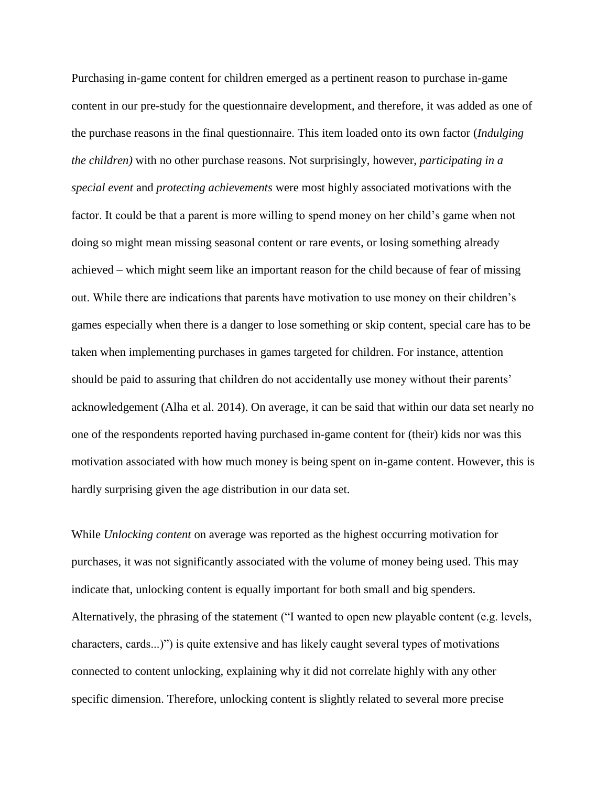Purchasing in-game content for children emerged as a pertinent reason to purchase in-game content in our pre-study for the questionnaire development, and therefore, it was added as one of the purchase reasons in the final questionnaire. This item loaded onto its own factor (*Indulging the children)* with no other purchase reasons. Not surprisingly, however, *participating in a special event* and *protecting achievements* were most highly associated motivations with the factor. It could be that a parent is more willing to spend money on her child's game when not doing so might mean missing seasonal content or rare events, or losing something already achieved – which might seem like an important reason for the child because of fear of missing out. While there are indications that parents have motivation to use money on their children's games especially when there is a danger to lose something or skip content, special care has to be taken when implementing purchases in games targeted for children. For instance, attention should be paid to assuring that children do not accidentally use money without their parents' acknowledgement (Alha et al. 2014). On average, it can be said that within our data set nearly no one of the respondents reported having purchased in-game content for (their) kids nor was this motivation associated with how much money is being spent on in-game content. However, this is hardly surprising given the age distribution in our data set.

While *Unlocking content* on average was reported as the highest occurring motivation for purchases, it was not significantly associated with the volume of money being used. This may indicate that, unlocking content is equally important for both small and big spenders. Alternatively, the phrasing of the statement ("I wanted to open new playable content (e.g. levels, characters, cards...)") is quite extensive and has likely caught several types of motivations connected to content unlocking, explaining why it did not correlate highly with any other specific dimension. Therefore, unlocking content is slightly related to several more precise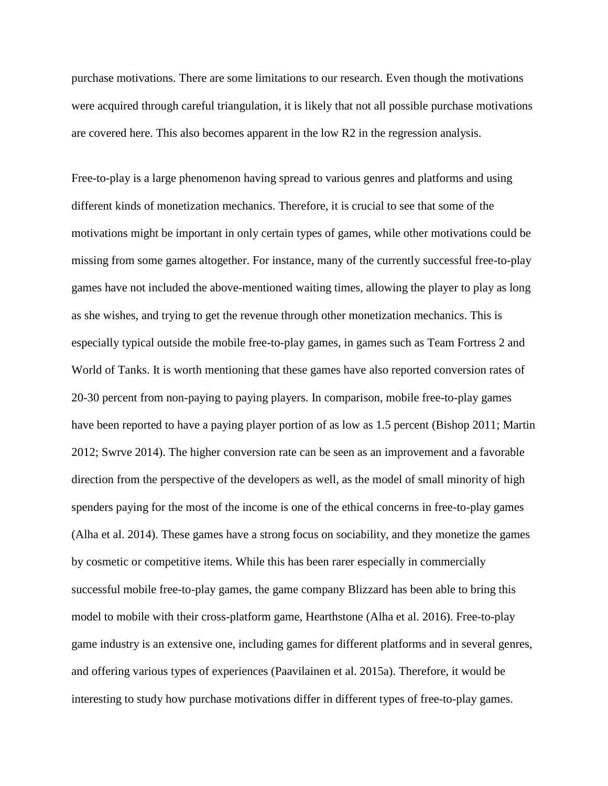purchase motivations. There are some limitations to our research. Even though the motivations were acquired through careful triangulation, it is likely that not all possible purchase motivations are covered here. This also becomes apparent in the low R2 in the regression analysis.

Free-to-play is a large phenomenon having spread to various genres and platforms and using different kinds of monetization mechanics. Therefore, it is crucial to see that some of the motivations might be important in only certain types of games, while other motivations could be missing from some games altogether. For instance, many of the currently successful free-to-play games have not included the above-mentioned waiting times, allowing the player to play as long as she wishes, and trying to get the revenue through other monetization mechanics. This is especially typical outside the mobile free-to-play games, in games such as Team Fortress 2 and World of Tanks. It is worth mentioning that these games have also reported conversion rates of 20-30 percent from non-paying to paying players. In comparison, mobile free-to-play games have been reported to have a paying player portion of as low as 1.5 percent (Bishop 2011; Martin 2012; Swrve 2014). The higher conversion rate can be seen as an improvement and a favorable direction from the perspective of the developers as well, as the model of small minority of high spenders paying for the most of the income is one of the ethical concerns in free-to-play games (Alha et al. 2014). These games have a strong focus on sociability, and they monetize the games by cosmetic or competitive items. While this has been rarer especially in commercially successful mobile free-to-play games, the game company Blizzard has been able to bring this model to mobile with their cross-platform game, Hearthstone (Alha et al. 2016). Free-to-play game industry is an extensive one, including games for different platforms and in several genres, and offering various types of experiences (Paavilainen et al. 2015a). Therefore, it would be interesting to study how purchase motivations differ in different types of free-to-play games.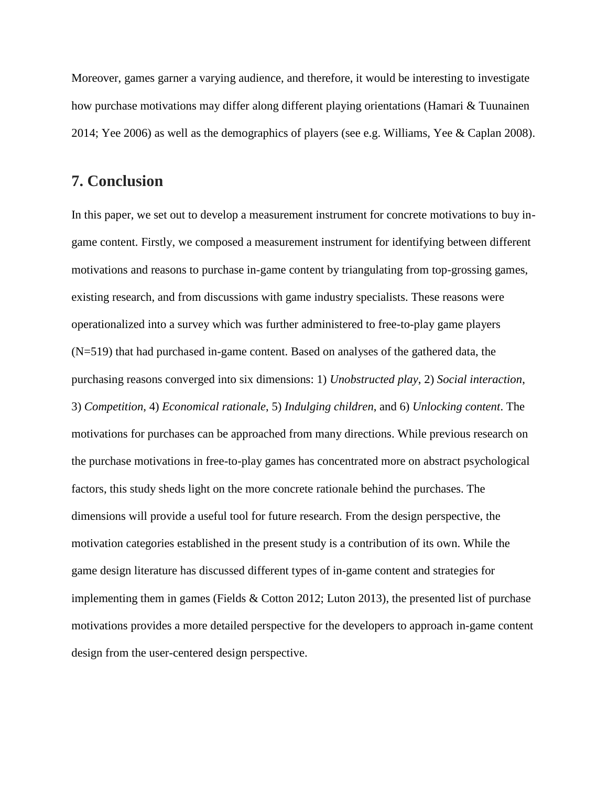Moreover, games garner a varying audience, and therefore, it would be interesting to investigate how purchase motivations may differ along different playing orientations (Hamari & Tuunainen 2014; Yee 2006) as well as the demographics of players (see e.g. Williams, Yee & Caplan 2008).

### **7. Conclusion**

In this paper, we set out to develop a measurement instrument for concrete motivations to buy ingame content. Firstly, we composed a measurement instrument for identifying between different motivations and reasons to purchase in-game content by triangulating from top-grossing games, existing research, and from discussions with game industry specialists. These reasons were operationalized into a survey which was further administered to free-to-play game players (N=519) that had purchased in-game content. Based on analyses of the gathered data, the purchasing reasons converged into six dimensions: 1) *Unobstructed play*, 2) *Social interaction*, 3) *Competition*, 4) *Economical rationale*, 5) *Indulging children*, and 6) *Unlocking content*. The motivations for purchases can be approached from many directions. While previous research on the purchase motivations in free-to-play games has concentrated more on abstract psychological factors, this study sheds light on the more concrete rationale behind the purchases. The dimensions will provide a useful tool for future research. From the design perspective, the motivation categories established in the present study is a contribution of its own. While the game design literature has discussed different types of in-game content and strategies for implementing them in games (Fields & Cotton 2012; Luton 2013), the presented list of purchase motivations provides a more detailed perspective for the developers to approach in-game content design from the user-centered design perspective.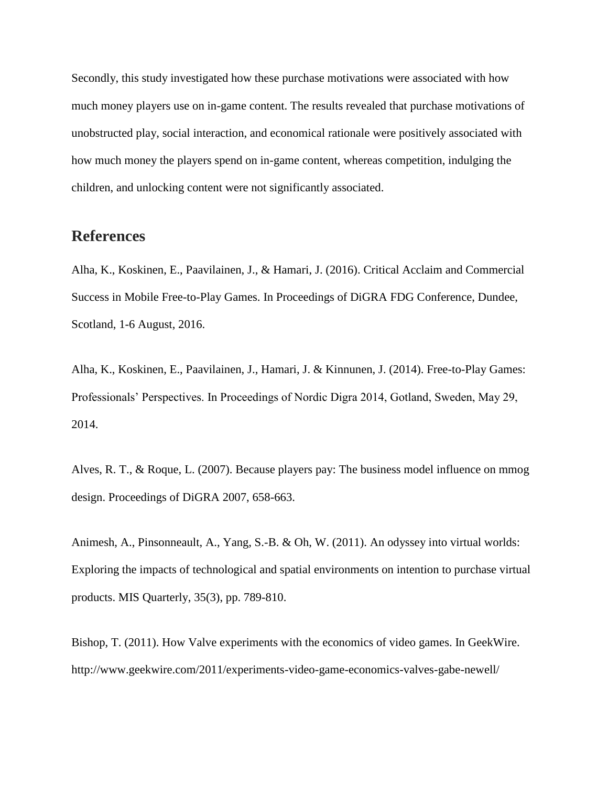Secondly, this study investigated how these purchase motivations were associated with how much money players use on in-game content. The results revealed that purchase motivations of unobstructed play, social interaction, and economical rationale were positively associated with how much money the players spend on in-game content, whereas competition, indulging the children, and unlocking content were not significantly associated.

# **References**

Alha, K., Koskinen, E., Paavilainen, J., & Hamari, J. (2016). Critical Acclaim and Commercial Success in Mobile Free-to-Play Games. In Proceedings of DiGRA FDG Conference, Dundee, Scotland, 1-6 August, 2016.

Alha, K., Koskinen, E., Paavilainen, J., Hamari, J. & Kinnunen, J. (2014). Free-to-Play Games: Professionals' Perspectives. In Proceedings of Nordic Digra 2014, Gotland, Sweden, May 29, 2014.

Alves, R. T., & Roque, L. (2007). Because players pay: The business model influence on mmog design. Proceedings of DiGRA 2007, 658-663.

Animesh, A., Pinsonneault, A., Yang, S.-B. & Oh, W. (2011). An odyssey into virtual worlds: Exploring the impacts of technological and spatial environments on intention to purchase virtual products. MIS Quarterly, 35(3), pp. 789-810.

Bishop, T. (2011). How Valve experiments with the economics of video games. In GeekWire. http://www.geekwire.com/2011/experiments-video-game-economics-valves-gabe-newell/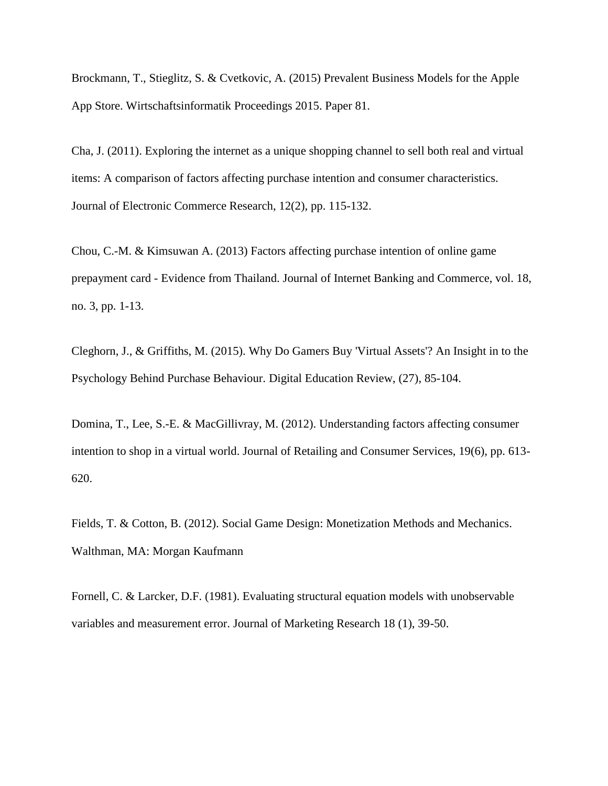Brockmann, T., Stieglitz, S. & Cvetkovic, A. (2015) Prevalent Business Models for the Apple App Store. Wirtschaftsinformatik Proceedings 2015. Paper 81.

Cha, J. (2011). Exploring the internet as a unique shopping channel to sell both real and virtual items: A comparison of factors affecting purchase intention and consumer characteristics. Journal of Electronic Commerce Research, 12(2), pp. 115-132.

Chou, C.-M. & Kimsuwan A. (2013) Factors affecting purchase intention of online game prepayment card - Evidence from Thailand. Journal of Internet Banking and Commerce, vol. 18, no. 3, pp. 1-13.

Cleghorn, J., & Griffiths, M. (2015). Why Do Gamers Buy 'Virtual Assets'? An Insight in to the Psychology Behind Purchase Behaviour. Digital Education Review, (27), 85-104.

Domina, T., Lee, S.-E. & MacGillivray, M. (2012). Understanding factors affecting consumer intention to shop in a virtual world. Journal of Retailing and Consumer Services, 19(6), pp. 613- 620.

Fields, T. & Cotton, B. (2012). Social Game Design: Monetization Methods and Mechanics. Walthman, MA: Morgan Kaufmann

Fornell, C. & Larcker, D.F. (1981). Evaluating structural equation models with unobservable variables and measurement error. Journal of Marketing Research 18 (1), 39-50.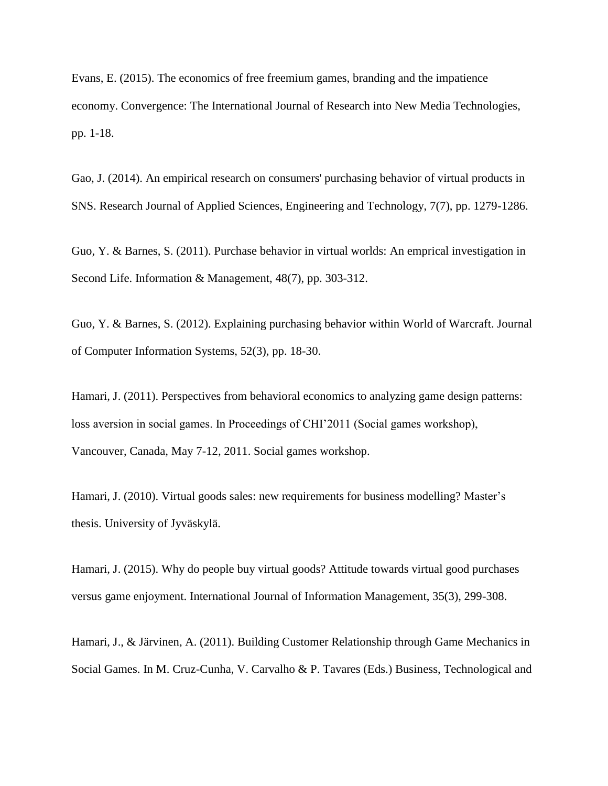Evans, E. (2015). The economics of free freemium games, branding and the impatience economy. Convergence: The International Journal of Research into New Media Technologies, pp. 1-18.

Gao, J. (2014). An empirical research on consumers' purchasing behavior of virtual products in SNS. Research Journal of Applied Sciences, Engineering and Technology, 7(7), pp. 1279-1286.

Guo, Y. & Barnes, S. (2011). Purchase behavior in virtual worlds: An emprical investigation in Second Life. Information & Management, 48(7), pp. 303-312.

Guo, Y. & Barnes, S. (2012). Explaining purchasing behavior within World of Warcraft. Journal of Computer Information Systems, 52(3), pp. 18-30.

Hamari, J. (2011). Perspectives from behavioral economics to analyzing game design patterns: loss aversion in social games. In Proceedings of CHI'2011 (Social games workshop), Vancouver, Canada, May 7-12, 2011. Social games workshop.

Hamari, J. (2010). Virtual goods sales: new requirements for business modelling? Master's thesis. University of Jyväskylä.

Hamari, J. (2015). Why do people buy virtual goods? Attitude towards virtual good purchases versus game enjoyment. International Journal of Information Management, 35(3), 299-308.

Hamari, J., & Järvinen, A. (2011). Building Customer Relationship through Game Mechanics in Social Games. In M. Cruz-Cunha, V. Carvalho & P. Tavares (Eds.) Business, Technological and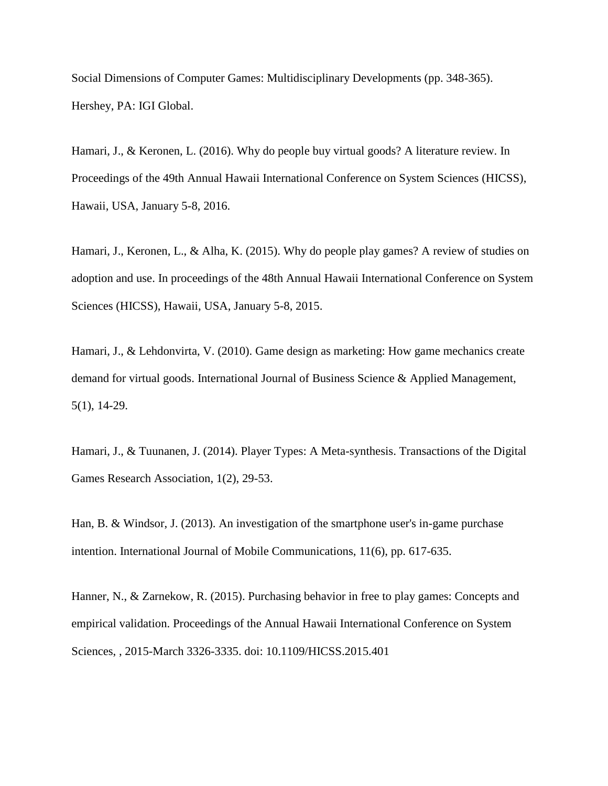Social Dimensions of Computer Games: Multidisciplinary Developments (pp. 348-365). Hershey, PA: IGI Global.

Hamari, J., & Keronen, L. (2016). Why do people buy virtual goods? A literature review. In Proceedings of the 49th Annual Hawaii International Conference on System Sciences (HICSS), Hawaii, USA, January 5-8, 2016.

Hamari, J., Keronen, L., & Alha, K. (2015). Why do people play games? A review of studies on adoption and use. In proceedings of the 48th Annual Hawaii International Conference on System Sciences (HICSS), Hawaii, USA, January 5-8, 2015.

Hamari, J., & Lehdonvirta, V. (2010). Game design as marketing: How game mechanics create demand for virtual goods. International Journal of Business Science & Applied Management, 5(1), 14-29.

Hamari, J., & Tuunanen, J. (2014). Player Types: A Meta-synthesis. Transactions of the Digital Games Research Association, 1(2), 29-53.

Han, B. & Windsor, J. (2013). An investigation of the smartphone user's in-game purchase intention. International Journal of Mobile Communications, 11(6), pp. 617-635.

Hanner, N., & Zarnekow, R. (2015). Purchasing behavior in free to play games: Concepts and empirical validation. Proceedings of the Annual Hawaii International Conference on System Sciences, , 2015-March 3326-3335. doi: 10.1109/HICSS.2015.401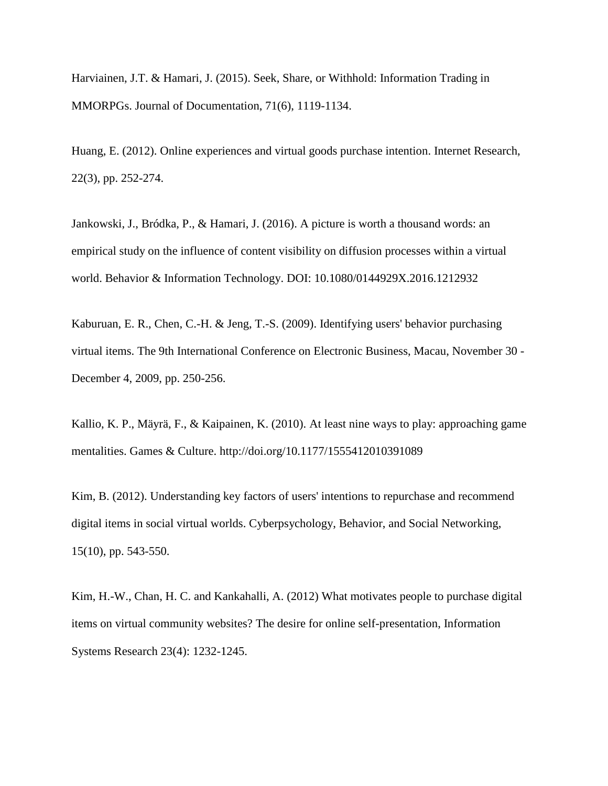Harviainen, J.T. & Hamari, J. (2015). Seek, Share, or Withhold: Information Trading in MMORPGs. Journal of Documentation, 71(6), 1119-1134.

Huang, E. (2012). Online experiences and virtual goods purchase intention. Internet Research, 22(3), pp. 252-274.

Jankowski, J., Bródka, P., & Hamari, J. (2016). A picture is worth a thousand words: an empirical study on the influence of content visibility on diffusion processes within a virtual world. Behavior & Information Technology. DOI: 10.1080/0144929X.2016.1212932

Kaburuan, E. R., Chen, C.-H. & Jeng, T.-S. (2009). Identifying users' behavior purchasing virtual items. The 9th International Conference on Electronic Business, Macau, November 30 - December 4, 2009, pp. 250-256.

Kallio, K. P., Mäyrä, F., & Kaipainen, K. (2010). At least nine ways to play: approaching game mentalities. Games & Culture. http://doi.org/10.1177/1555412010391089

Kim, B. (2012). Understanding key factors of users' intentions to repurchase and recommend digital items in social virtual worlds. Cyberpsychology, Behavior, and Social Networking, 15(10), pp. 543-550.

Kim, H.-W., Chan, H. C. and Kankahalli, A. (2012) What motivates people to purchase digital items on virtual community websites? The desire for online self-presentation, Information Systems Research 23(4): 1232-1245.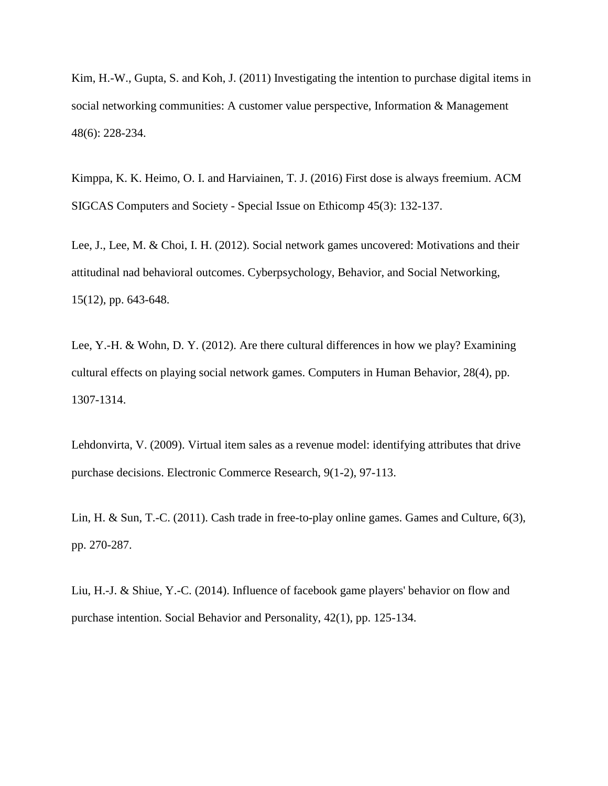Kim, H.-W., Gupta, S. and Koh, J. (2011) Investigating the intention to purchase digital items in social networking communities: A customer value perspective, Information & Management 48(6): 228-234.

Kimppa, K. K. Heimo, O. I. and Harviainen, T. J. (2016) First dose is always freemium. ACM SIGCAS Computers and Society - Special Issue on Ethicomp 45(3): 132-137.

Lee, J., Lee, M. & Choi, I. H. (2012). Social network games uncovered: Motivations and their attitudinal nad behavioral outcomes. Cyberpsychology, Behavior, and Social Networking, 15(12), pp. 643-648.

Lee, Y.-H. & Wohn, D. Y. (2012). Are there cultural differences in how we play? Examining cultural effects on playing social network games. Computers in Human Behavior, 28(4), pp. 1307-1314.

Lehdonvirta, V. (2009). Virtual item sales as a revenue model: identifying attributes that drive purchase decisions. Electronic Commerce Research, 9(1-2), 97-113.

Lin, H. & Sun, T.-C. (2011). Cash trade in free-to-play online games. Games and Culture, 6(3), pp. 270-287.

Liu, H.-J. & Shiue, Y.-C. (2014). Influence of facebook game players' behavior on flow and purchase intention. Social Behavior and Personality, 42(1), pp. 125-134.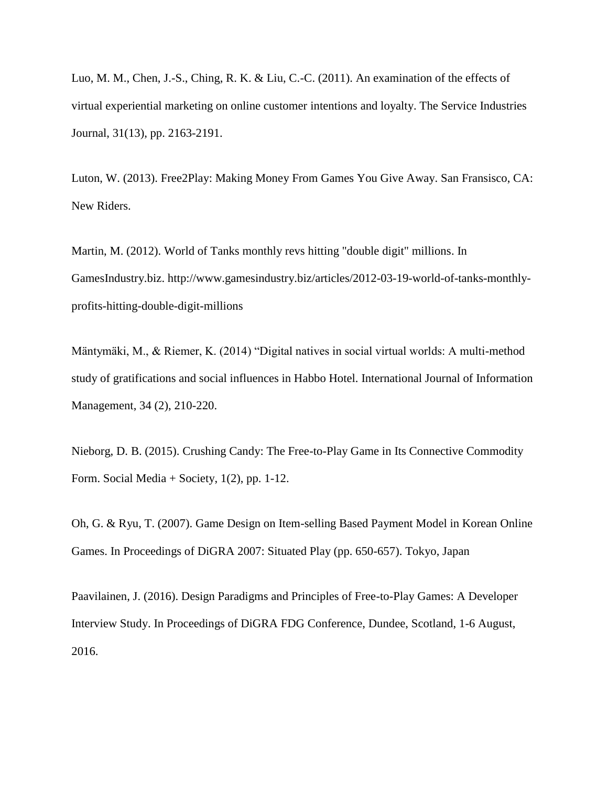Luo, M. M., Chen, J.-S., Ching, R. K. & Liu, C.-C. (2011). An examination of the effects of virtual experiential marketing on online customer intentions and loyalty. The Service Industries Journal, 31(13), pp. 2163-2191.

Luton, W. (2013). Free2Play: Making Money From Games You Give Away. San Fransisco, CA: New Riders.

Martin, M. (2012). World of Tanks monthly revs hitting "double digit" millions. In GamesIndustry.biz. http://www.gamesindustry.biz/articles/2012-03-19-world-of-tanks-monthlyprofits-hitting-double-digit-millions

Mäntymäki, M., & Riemer, K. (2014) "Digital natives in social virtual worlds: A multi-method study of gratifications and social influences in Habbo Hotel. International Journal of Information Management, 34 (2), 210-220.

Nieborg, D. B. (2015). Crushing Candy: The Free-to-Play Game in Its Connective Commodity Form. Social Media + Society, 1(2), pp. 1-12.

Oh, G. & Ryu, T. (2007). Game Design on Item-selling Based Payment Model in Korean Online Games. In Proceedings of DiGRA 2007: Situated Play (pp. 650-657). Tokyo, Japan

Paavilainen, J. (2016). Design Paradigms and Principles of Free-to-Play Games: A Developer Interview Study. In Proceedings of DiGRA FDG Conference, Dundee, Scotland, 1-6 August, 2016.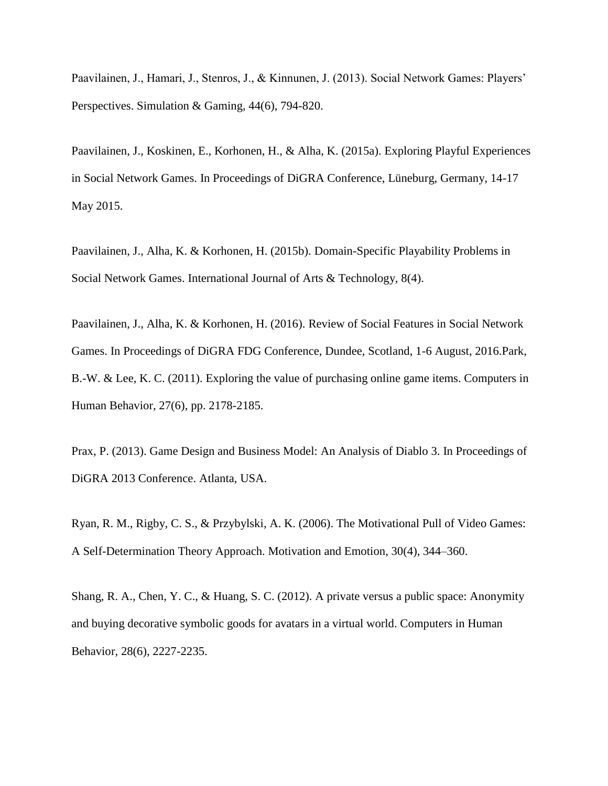Paavilainen, J., Hamari, J., Stenros, J., & Kinnunen, J. (2013). Social Network Games: Players' Perspectives. Simulation & Gaming, 44(6), 794-820.

Paavilainen, J., Koskinen, E., Korhonen, H., & Alha, K. (2015a). Exploring Playful Experiences in Social Network Games. In Proceedings of DiGRA Conference, Lüneburg, Germany, 14-17 May 2015.

Paavilainen, J., Alha, K. & Korhonen, H. (2015b). Domain-Specific Playability Problems in Social Network Games. International Journal of Arts & Technology, 8(4).

Paavilainen, J., Alha, K. & Korhonen, H. (2016). Review of Social Features in Social Network Games. In Proceedings of DiGRA FDG Conference, Dundee, Scotland, 1-6 August, 2016.Park, B.-W. & Lee, K. C. (2011). Exploring the value of purchasing online game items. Computers in Human Behavior, 27(6), pp. 2178-2185.

Prax, P. (2013). Game Design and Business Model: An Analysis of Diablo 3. In Proceedings of DiGRA 2013 Conference. Atlanta, USA.

Ryan, R. M., Rigby, C. S., & Przybylski, A. K. (2006). The Motivational Pull of Video Games: A Self-Determination Theory Approach. Motivation and Emotion, 30(4), 344–360.

Shang, R. A., Chen, Y. C., & Huang, S. C. (2012). A private versus a public space: Anonymity and buying decorative symbolic goods for avatars in a virtual world. Computers in Human Behavior, 28(6), 2227-2235.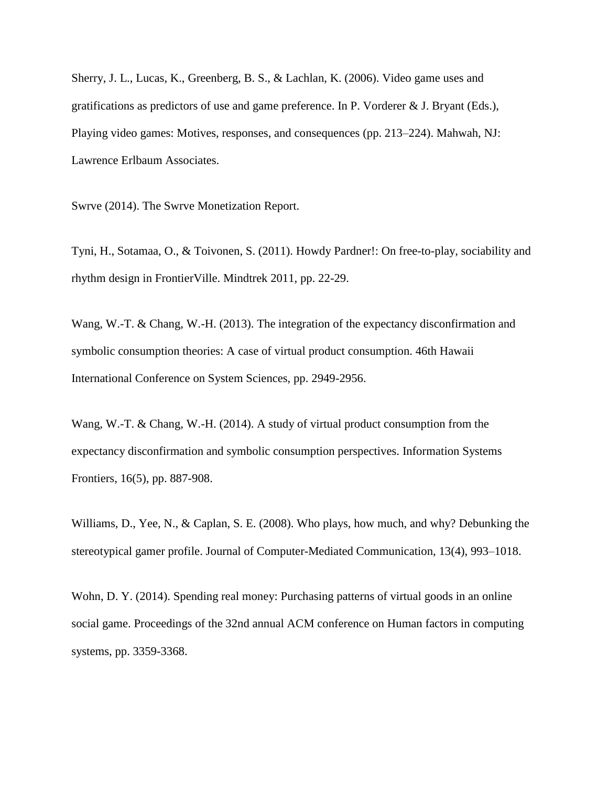Sherry, J. L., Lucas, K., Greenberg, B. S., & Lachlan, K. (2006). Video game uses and gratifications as predictors of use and game preference. In P. Vorderer & J. Bryant (Eds.), Playing video games: Motives, responses, and consequences (pp. 213–224). Mahwah, NJ: Lawrence Erlbaum Associates.

Swrve (2014). The Swrve Monetization Report.

Tyni, H., Sotamaa, O., & Toivonen, S. (2011). Howdy Pardner!: On free-to-play, sociability and rhythm design in FrontierVille. Mindtrek 2011, pp. 22-29.

Wang, W.-T. & Chang, W.-H. (2013). The integration of the expectancy disconfirmation and symbolic consumption theories: A case of virtual product consumption. 46th Hawaii International Conference on System Sciences, pp. 2949-2956.

Wang, W.-T. & Chang, W.-H. (2014). A study of virtual product consumption from the expectancy disconfirmation and symbolic consumption perspectives. Information Systems Frontiers, 16(5), pp. 887-908.

Williams, D., Yee, N., & Caplan, S. E. (2008). Who plays, how much, and why? Debunking the stereotypical gamer profile. Journal of Computer-Mediated Communication, 13(4), 993–1018.

Wohn, D. Y. (2014). Spending real money: Purchasing patterns of virtual goods in an online social game. Proceedings of the 32nd annual ACM conference on Human factors in computing systems, pp. 3359-3368.